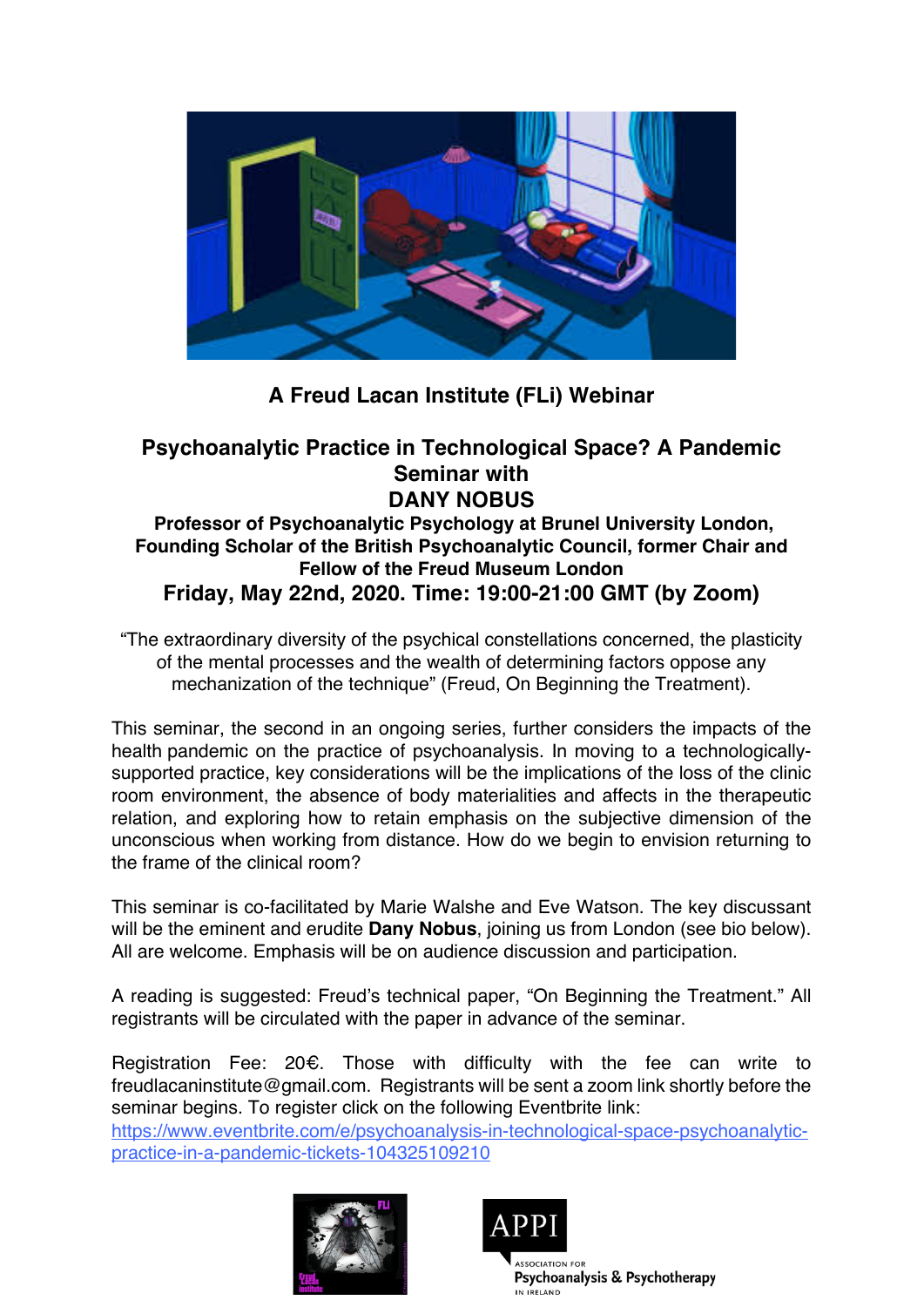

## **A Freud Lacan Institute (FLi) Webinar**

## **Psychoanalytic Practice in Technological Space? A Pandemic Seminar with DANY NOBUS**

## **Professor of Psychoanalytic Psychology at Brunel University London, Founding Scholar of the British Psychoanalytic Council, former Chair and Fellow of the Freud Museum London Friday, May 22nd, 2020. Time: 19:00-21:00 GMT (by Zoom)**

"The extraordinary diversity of the psychical constellations concerned, the plasticity of the mental processes and the wealth of determining factors oppose any mechanization of the technique" (Freud, On Beginning the Treatment).

This seminar, the second in an ongoing series, further considers the impacts of the health pandemic on the practice of psychoanalysis. In moving to a technologicallysupported practice, key considerations will be the implications of the loss of the clinic room environment, the absence of body materialities and affects in the therapeutic relation, and exploring how to retain emphasis on the subjective dimension of the unconscious when working from distance. How do we begin to envision returning to the frame of the clinical room?

This seminar is co-facilitated by Marie Walshe and Eve Watson. The key discussant will be the eminent and erudite **Dany Nobus**, joining us from London (see bio below). All are welcome. Emphasis will be on audience discussion and participation.

A reading is suggested: Freud's technical paper, "On Beginning the Treatment." All registrants will be circulated with the paper in advance of the seminar.

Registration Fee: 20€. Those with difficulty with the fee can write to freudlacaninstitute@gmail.com. Registrants will be sent a zoom link shortly before the seminar begins. To register click on the following Eventbrite link:

https://www.eventbrite.com/e/psychoanalysis-in-technological-space-psychoanalyticpractice-in-a-pandemic-tickets-104325109210





Psychoanalysis & Psychotherapy IN IRFIAND